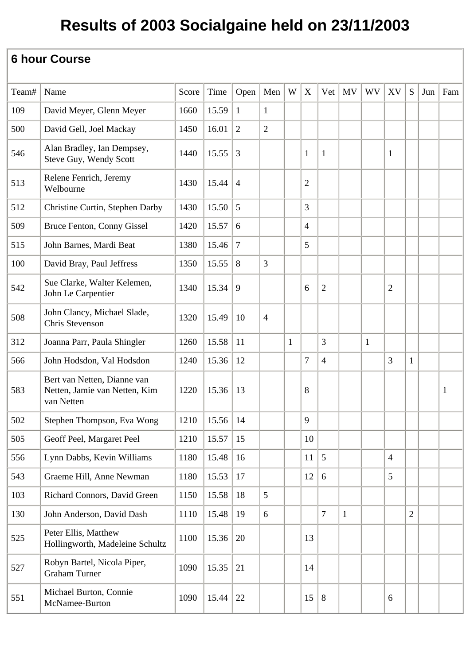| Team# | Name                                                                       | Score | Time            | Open            | Men            | W            | X              | Vet            | <b>MV</b>    | <b>WV</b>    | XV             | S              | Jun | Fam          |
|-------|----------------------------------------------------------------------------|-------|-----------------|-----------------|----------------|--------------|----------------|----------------|--------------|--------------|----------------|----------------|-----|--------------|
| 109   | David Meyer, Glenn Meyer                                                   | 1660  | 15.59           | $\mathbf{1}$    | $\mathbf{1}$   |              |                |                |              |              |                |                |     |              |
| 500   | David Gell, Joel Mackay                                                    | 1450  | 16.01           | $\overline{2}$  | $\overline{2}$ |              |                |                |              |              |                |                |     |              |
| 546   | Alan Bradley, Ian Dempsey,<br>Steve Guy, Wendy Scott                       | 1440  | 15.55           | 3               |                |              | $\mathbf{1}$   | $\mathbf{1}$   |              |              | $\mathbf{1}$   |                |     |              |
| 513   | Relene Fenrich, Jeremy<br>Welbourne                                        | 1430  | 15.44           | $\overline{4}$  |                |              | $\overline{2}$ |                |              |              |                |                |     |              |
| 512   | Christine Curtin, Stephen Darby                                            | 1430  | 15.50           | 5               |                |              | 3              |                |              |              |                |                |     |              |
| 509   | Bruce Fenton, Conny Gissel                                                 | 1420  | 15.57           | 6               |                |              | $\overline{4}$ |                |              |              |                |                |     |              |
| 515   | John Barnes, Mardi Beat                                                    | 1380  | 15.46           | $7\phantom{.0}$ |                |              | 5              |                |              |              |                |                |     |              |
| 100   | David Bray, Paul Jeffress                                                  | 1350  | 15.55           | 8               | 3              |              |                |                |              |              |                |                |     |              |
| 542   | Sue Clarke, Walter Kelemen,<br>John Le Carpentier                          | 1340  | 15.34           | 9               |                |              | 6              | $\overline{2}$ |              |              | $\overline{2}$ |                |     |              |
| 508   | John Clancy, Michael Slade,<br>Chris Stevenson                             | 1320  | 15.49           | 10              | $\overline{4}$ |              |                |                |              |              |                |                |     |              |
| 312   | Joanna Parr, Paula Shingler                                                | 1260  | 15.58           | 11              |                | $\mathbf{1}$ |                | 3              |              | $\mathbf{1}$ |                |                |     |              |
| 566   | John Hodsdon, Val Hodsdon                                                  | 1240  | 15.36           | 12              |                |              | $\overline{7}$ | $\overline{4}$ |              |              | 3              | $\mathbf{1}$   |     |              |
| 583   | Bert van Netten, Dianne van<br>Netten, Jamie van Netten, Kim<br>van Netten | 1220  | 15.36           | 13              |                |              | 8              |                |              |              |                |                |     | $\mathbf{1}$ |
| 502   | Stephen Thompson, Eva Wong                                                 | 1210  | $15.56 \mid 14$ |                 |                |              | 9              |                |              |              |                |                |     |              |
| 505   | Geoff Peel, Margaret Peel                                                  | 1210  | 15.57           | 15              |                |              | 10             |                |              |              |                |                |     |              |
| 556   | Lynn Dabbs, Kevin Williams                                                 | 1180  | 15.48           | 16              |                |              | 11             | 5              |              |              | $\overline{4}$ |                |     |              |
| 543   | Graeme Hill, Anne Newman                                                   | 1180  | 15.53           | 17              |                |              | 12             | 6              |              |              | 5              |                |     |              |
| 103   | Richard Connors, David Green                                               | 1150  | 15.58           | 18              | 5              |              |                |                |              |              |                |                |     |              |
| 130   | John Anderson, David Dash                                                  | 1110  | 15.48           | 19              | 6              |              |                | $\overline{7}$ | $\mathbf{1}$ |              |                | $\overline{2}$ |     |              |
| 525   | Peter Ellis, Matthew<br>Hollingworth, Madeleine Schultz                    | 1100  | 15.36           | 20              |                |              | 13             |                |              |              |                |                |     |              |
| 527   | Robyn Bartel, Nicola Piper,<br><b>Graham Turner</b>                        | 1090  | 15.35           | 21              |                |              | 14             |                |              |              |                |                |     |              |
| 551   | Michael Burton, Connie<br>McNamee-Burton                                   | 1090  | 15.44           | 22              |                |              | 15             | 8              |              |              | 6              |                |     |              |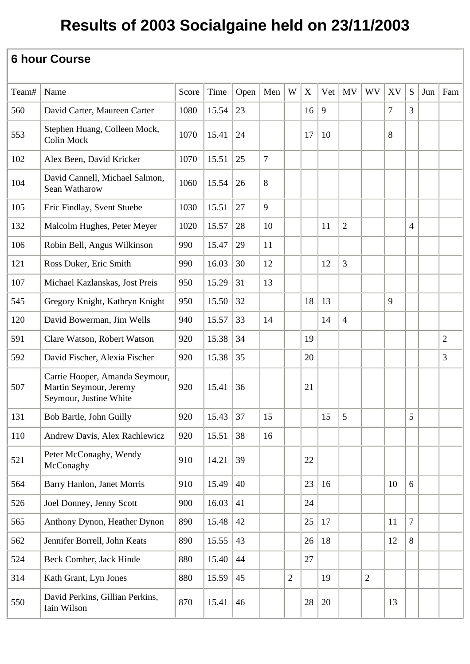| Team# | Name                                                                               | Score | Time  | Open | Men            | W              | $\mathbf X$ | Vet | <b>MV</b>      | <b>WV</b>      | XV             | S              | Jun | Fam            |
|-------|------------------------------------------------------------------------------------|-------|-------|------|----------------|----------------|-------------|-----|----------------|----------------|----------------|----------------|-----|----------------|
| 560   | David Carter, Maureen Carter                                                       | 1080  | 15.54 | 23   |                |                | 16          | 9   |                |                | $\overline{7}$ | 3              |     |                |
| 553   | Stephen Huang, Colleen Mock,<br>Colin Mock                                         | 1070  | 15.41 | 24   |                |                | 17          | 10  |                |                | 8              |                |     |                |
| 102   | Alex Been, David Kricker                                                           | 1070  | 15.51 | 25   | $\overline{7}$ |                |             |     |                |                |                |                |     |                |
| 104   | David Cannell, Michael Salmon,<br>Sean Watharow                                    | 1060  | 15.54 | 26   | 8              |                |             |     |                |                |                |                |     |                |
| 105   | Eric Findlay, Svent Stuebe                                                         | 1030  | 15.51 | 27   | 9              |                |             |     |                |                |                |                |     |                |
| 132   | Malcolm Hughes, Peter Meyer                                                        | 1020  | 15.57 | 28   | 10             |                |             | 11  | $\overline{2}$ |                |                | $\overline{4}$ |     |                |
| 106   | Robin Bell, Angus Wilkinson                                                        | 990   | 15.47 | 29   | 11             |                |             |     |                |                |                |                |     |                |
| 121   | Ross Duker, Eric Smith                                                             | 990   | 16.03 | 30   | 12             |                |             | 12  | 3              |                |                |                |     |                |
| 107   | Michael Kazlanskas, Jost Preis                                                     | 950   | 15.29 | 31   | 13             |                |             |     |                |                |                |                |     |                |
| 545   | Gregory Knight, Kathryn Knight                                                     | 950   | 15.50 | 32   |                |                | 18          | 13  |                |                | 9              |                |     |                |
| 120   | David Bowerman, Jim Wells                                                          | 940   | 15.57 | 33   | 14             |                |             | 14  | $\overline{4}$ |                |                |                |     |                |
| 591   | Clare Watson, Robert Watson                                                        | 920   | 15.38 | 34   |                |                | 19          |     |                |                |                |                |     | $\overline{2}$ |
| 592   | David Fischer, Alexia Fischer                                                      | 920   | 15.38 | 35   |                |                | 20          |     |                |                |                |                |     | 3              |
| 507   | Carrie Hooper, Amanda Seymour,<br>Martin Seymour, Jeremy<br>Seymour, Justine White | 920   | 15.41 | 36   |                |                | 21          |     |                |                |                |                |     |                |
| 131   | Bob Bartle, John Guilly                                                            | 920   | 15.43 | 37   | 15             |                |             | 15  | 5              |                |                | 5              |     |                |
| 110   | Andrew Davis, Alex Rachlewicz                                                      | 920   | 15.51 | 38   | 16             |                |             |     |                |                |                |                |     |                |
| 521   | Peter McConaghy, Wendy<br>McConaghy                                                | 910   | 14.21 | 39   |                |                | 22          |     |                |                |                |                |     |                |
| 564   | Barry Hanlon, Janet Morris                                                         | 910   | 15.49 | 40   |                |                | 23          | 16  |                |                | 10             | 6              |     |                |
| 526   | Joel Donney, Jenny Scott                                                           | 900   | 16.03 | 41   |                |                | 24          |     |                |                |                |                |     |                |
| 565   | Anthony Dynon, Heather Dynon                                                       | 890   | 15.48 | 42   |                |                | 25          | 17  |                |                | 11             | $\overline{7}$ |     |                |
| 562   | Jennifer Borrell, John Keats                                                       | 890   | 15.55 | 43   |                |                | 26          | 18  |                |                | 12             | 8              |     |                |
| 524   | Beck Comber, Jack Hinde                                                            | 880   | 15.40 | 44   |                |                | 27          |     |                |                |                |                |     |                |
| 314   | Kath Grant, Lyn Jones                                                              | 880   | 15.59 | 45   |                | $\overline{2}$ |             | 19  |                | $\overline{2}$ |                |                |     |                |
| 550   | David Perkins, Gillian Perkins,<br>Iain Wilson                                     | 870   | 15.41 | 46   |                |                | 28          | 20  |                |                | 13             |                |     |                |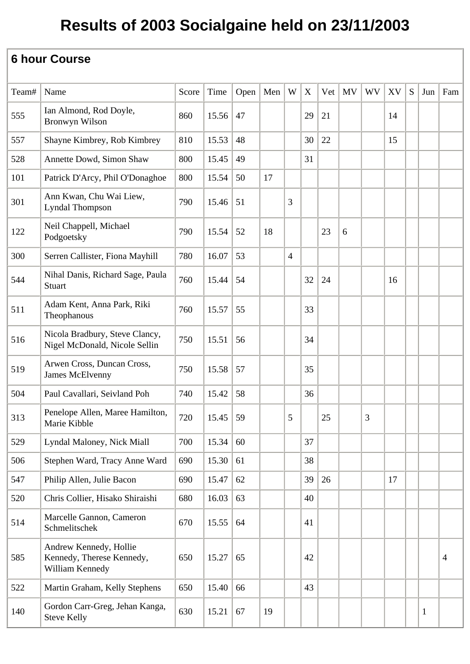| Team# | Name                                                                   | Score | Time  | Open   Men |    | W              | X  | Vert | <b>MV</b> | <b>WV</b> | XV | S | Jun          | Fam            |
|-------|------------------------------------------------------------------------|-------|-------|------------|----|----------------|----|------|-----------|-----------|----|---|--------------|----------------|
| 555   | Ian Almond, Rod Doyle,<br><b>Bronwyn Wilson</b>                        | 860   | 15.56 | 47         |    |                | 29 | 21   |           |           | 14 |   |              |                |
| 557   | Shayne Kimbrey, Rob Kimbrey                                            | 810   | 15.53 | 48         |    |                | 30 | 22   |           |           | 15 |   |              |                |
| 528   | Annette Dowd, Simon Shaw                                               | 800   | 15.45 | 49         |    |                | 31 |      |           |           |    |   |              |                |
| 101   | Patrick D'Arcy, Phil O'Donaghoe                                        | 800   | 15.54 | 50         | 17 |                |    |      |           |           |    |   |              |                |
| 301   | Ann Kwan, Chu Wai Liew,<br><b>Lyndal Thompson</b>                      | 790   | 15.46 | 51         |    | 3              |    |      |           |           |    |   |              |                |
| 122   | Neil Chappell, Michael<br>Podgoetsky                                   | 790   | 15.54 | 52         | 18 |                |    | 23   | 6         |           |    |   |              |                |
| 300   | Serren Callister, Fiona Mayhill                                        | 780   | 16.07 | 53         |    | $\overline{4}$ |    |      |           |           |    |   |              |                |
| 544   | Nihal Danis, Richard Sage, Paula<br>Stuart                             | 760   | 15.44 | 54         |    |                | 32 | 24   |           |           | 16 |   |              |                |
| 511   | Adam Kent, Anna Park, Riki<br>Theophanous                              | 760   | 15.57 | 55         |    |                | 33 |      |           |           |    |   |              |                |
| 516   | Nicola Bradbury, Steve Clancy,<br>Nigel McDonald, Nicole Sellin        | 750   | 15.51 | 56         |    |                | 34 |      |           |           |    |   |              |                |
| 519   | Arwen Cross, Duncan Cross,<br>James McElvenny                          | 750   | 15.58 | 57         |    |                | 35 |      |           |           |    |   |              |                |
| 504   | Paul Cavallari, Seivland Poh                                           | 740   | 15.42 | 58         |    |                | 36 |      |           |           |    |   |              |                |
| 313   | Penelope Allen, Maree Hamilton,<br>Marie Kibble                        | 720   | 15.45 | 59         |    | 5              |    | 25   |           | 3         |    |   |              |                |
| 529   | Lyndal Maloney, Nick Miall                                             | 700   | 15.34 | 60         |    |                | 37 |      |           |           |    |   |              |                |
| 506   | Stephen Ward, Tracy Anne Ward                                          | 690   | 15.30 | 61         |    |                | 38 |      |           |           |    |   |              |                |
| 547   | Philip Allen, Julie Bacon                                              | 690   | 15.47 | 62         |    |                | 39 | 26   |           |           | 17 |   |              |                |
| 520   | Chris Collier, Hisako Shiraishi                                        | 680   | 16.03 | 63         |    |                | 40 |      |           |           |    |   |              |                |
| 514   | Marcelle Gannon, Cameron<br>Schmelitschek                              | 670   | 15.55 | 64         |    |                | 41 |      |           |           |    |   |              |                |
| 585   | Andrew Kennedy, Hollie<br>Kennedy, Therese Kennedy,<br>William Kennedy | 650   | 15.27 | 65         |    |                | 42 |      |           |           |    |   |              | $\overline{4}$ |
| 522   | Martin Graham, Kelly Stephens                                          | 650   | 15.40 | 66         |    |                | 43 |      |           |           |    |   |              |                |
| 140   | Gordon Carr-Greg, Jehan Kanga,<br><b>Steve Kelly</b>                   | 630   | 15.21 | 67         | 19 |                |    |      |           |           |    |   | $\mathbf{1}$ |                |